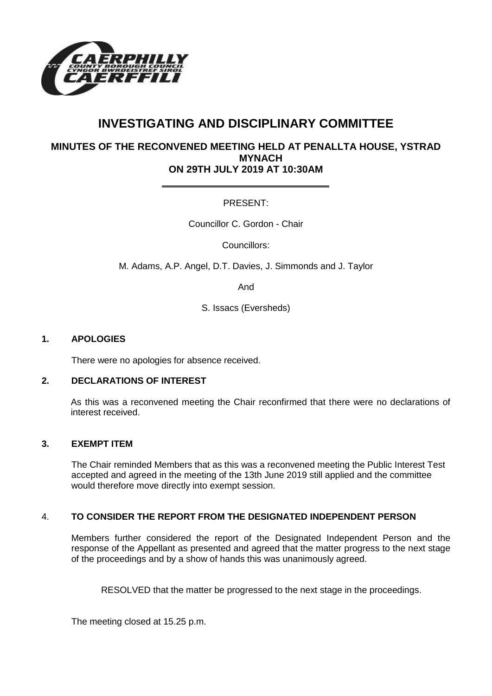

# **INVESTIGATING AND DISCIPLINARY COMMITTEE**

# **MINUTES OF THE RECONVENED MEETING HELD AT PENALLTA HOUSE, YSTRAD MYNACH ON 29TH JULY 2019 AT 10:30AM**

# PRESENT:

Councillor C. Gordon - Chair

Councillors:

M. Adams, A.P. Angel, D.T. Davies, J. Simmonds and J. Taylor

And

S. Issacs (Eversheds)

### **1. APOLOGIES**

There were no apologies for absence received.

#### **2. DECLARATIONS OF INTEREST**

As this was a reconvened meeting the Chair reconfirmed that there were no declarations of interest received.

#### **3. EXEMPT ITEM**

The Chair reminded Members that as this was a reconvened meeting the Public Interest Test accepted and agreed in the meeting of the 13th June 2019 still applied and the committee would therefore move directly into exempt session.

## 4. **TO CONSIDER THE REPORT FROM THE DESIGNATED INDEPENDENT PERSON**

Members further considered the report of the Designated Independent Person and the response of the Appellant as presented and agreed that the matter progress to the next stage of the proceedings and by a show of hands this was unanimously agreed.

RESOLVED that the matter be progressed to the next stage in the proceedings.

The meeting closed at 15.25 p.m.